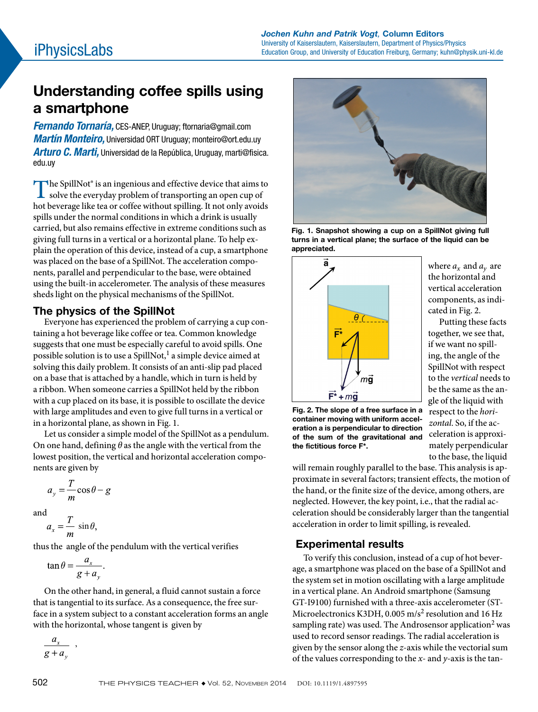# Understanding coffee spills using a smartphone

*Fernando Tornaría,* CES-ANEP, Uruguay; ftornaria@gmail.com *Martín Monteiro,* Universidad ORT Uruguay; monteiro@ort.edu.uy *Arturo C. Marti,* Universidad de la República, Uruguay, marti@fisica. edu.uy

The SpillNot<sup>®</sup> is an ingenious and effective device that aims to<br>solve the everyday problem of transporting an open cup of solve the everyday problem of transporting an open cup of hot beverage like tea or coffee without spilling. It not only avoids spills under the normal conditions in which a drink is usually carried, but also remains effective in extreme conditions such as giving full turns in a vertical or a horizontal plane. To help explain the operation of this device, instead of a cup, a smartphone was placed on the base of a SpillNot. The acceleration components, parallel and perpendicular to the base, were obtained using the built-in accelerometer. The analysis of these measures sheds light on the physical mechanisms of the SpillNot.

## The physics of the SpillNot

Everyone has experienced the problem of carrying a cup containing a hot beverage like coffee or tea. Common knowledge suggests that one must be especially careful to avoid spills. One possible solution is to use a SpillNot,<sup>1</sup> a simple device aimed at solving this daily problem. It consists of an anti-slip pad placed on a base that is attached by a handle, which in turn is held by a ribbon. When someone carries a SpillNot held by the ribbon with a cup placed on its base, it is possible to oscillate the device with large amplitudes and even to give full turns in a vertical or in a horizontal plane, as shown in Fig. 1.

Let us consider a simple model of the SpillNot as a pendulum. On one hand, defining *θ* as the angle with the vertical from the lowest position, the vertical and horizontal acceleration components are given by

$$
a_y = \frac{T}{m}\cos\theta - g
$$

and

$$
a_x = \frac{T}{m} \sin \theta,
$$

thus the angle of the pendulum with the vertical verifies

$$
\tan \theta = \frac{a_x}{g + a_y}.
$$

,

On the other hand, in general, a fluid cannot sustain a force that is tangential to its surface. As a consequence, the free surface in a system subject to a constant acceleration forms an angle with the horizontal, whose tangent is given by

 $a_{x}$  $g + a_{v}$ 



Fig. 1. Snapshot showing a cup on a SpillNot giving full turns in a vertical plane; the surface of the liquid can be appreciated.



where  $a_x$  and  $a_y$  are the horizontal and vertical acceleration components, as indicated in Fig. 2.

Putting these facts together, we see that, if we want no spilling, the angle of the SpillNot with respect to the *vertical* needs to be the same as the angle of the liquid with respect to the *horizontal*. So, if the acceleration is approximately perpendicular to the base, the liquid

Fig. 2. The slope of a free surface in a container moving with uniform acceleration a is perpendicular to direction of the sum of the gravitational and the fictitious force F\*.

will remain roughly parallel to the base. This analysis is approximate in several factors; transient effects, the motion of the hand, or the finite size of the device, among others, are neglected. However, the key point, i.e., that the radial acceleration should be considerably larger than the tangential acceleration in order to limit spilling, is revealed.

# Experimental results

To verify this conclusion, instead of a cup of hot beverage, a smartphone was placed on the base of a SpillNot and the system set in motion oscillating with a large amplitude in a vertical plane. An Android smartphone (Samsung GT-I9100) furnished with a three-axis accelerometer (ST-Microelectronics K3DH, 0.005 m/s<sup>2</sup> resolution and 16 Hz sampling rate) was used. The Androsensor application<sup>2</sup> was used to record sensor readings. The radial acceleration is given by the sensor along the *z*-axis while the vectorial sum of the values corresponding to the *x*- and *y*-axis is the tan-